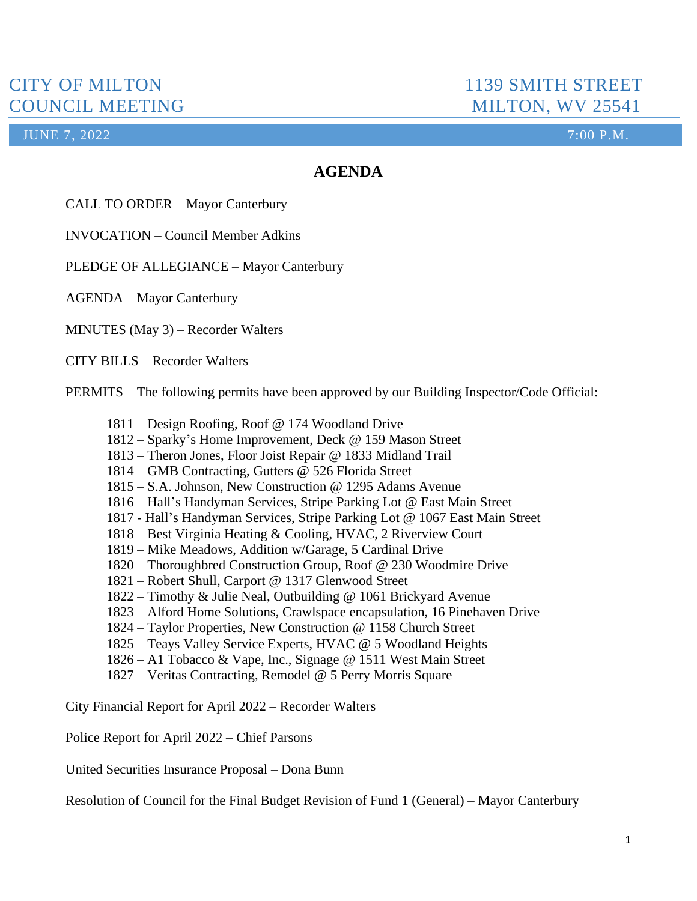**JUNE 7, 2022** 2001 2002 2003 2004 2012 2022 2013 2014 2014 2015 2016 2017 2018 2019 2014 2016 2017 2018 2019 201

## **AGENDA**

CALL TO ORDER – Mayor Canterbury

INVOCATION – Council Member Adkins

PLEDGE OF ALLEGIANCE – Mayor Canterbury

AGENDA – Mayor Canterbury

MINUTES (May 3) – Recorder Walters

CITY BILLS – Recorder Walters

PERMITS – The following permits have been approved by our Building Inspector/Code Official:

- 1811 Design Roofing, Roof @ 174 Woodland Drive
- 1812 Sparky's Home Improvement, Deck @ 159 Mason Street
- 1813 Theron Jones, Floor Joist Repair @ 1833 Midland Trail
- 1814 GMB Contracting, Gutters @ 526 Florida Street
- 1815 S.A. Johnson, New Construction @ 1295 Adams Avenue
- 1816 Hall's Handyman Services, Stripe Parking Lot @ East Main Street
- 1817 Hall's Handyman Services, Stripe Parking Lot @ 1067 East Main Street
- 1818 Best Virginia Heating & Cooling, HVAC, 2 Riverview Court
- 1819 Mike Meadows, Addition w/Garage, 5 Cardinal Drive
- 1820 Thoroughbred Construction Group, Roof @ 230 Woodmire Drive
- 1821 Robert Shull, Carport @ 1317 Glenwood Street
- 1822 Timothy & Julie Neal, Outbuilding @ 1061 Brickyard Avenue
- 1823 Alford Home Solutions, Crawlspace encapsulation, 16 Pinehaven Drive
- 1824 Taylor Properties, New Construction @ 1158 Church Street
- 1825 Teays Valley Service Experts, HVAC @ 5 Woodland Heights
- 1826 A1 Tobacco & Vape, Inc., Signage @ 1511 West Main Street
- 1827 Veritas Contracting, Remodel @ 5 Perry Morris Square

City Financial Report for April 2022 – Recorder Walters

Police Report for April 2022 – Chief Parsons

United Securities Insurance Proposal – Dona Bunn

Resolution of Council for the Final Budget Revision of Fund 1 (General) – Mayor Canterbury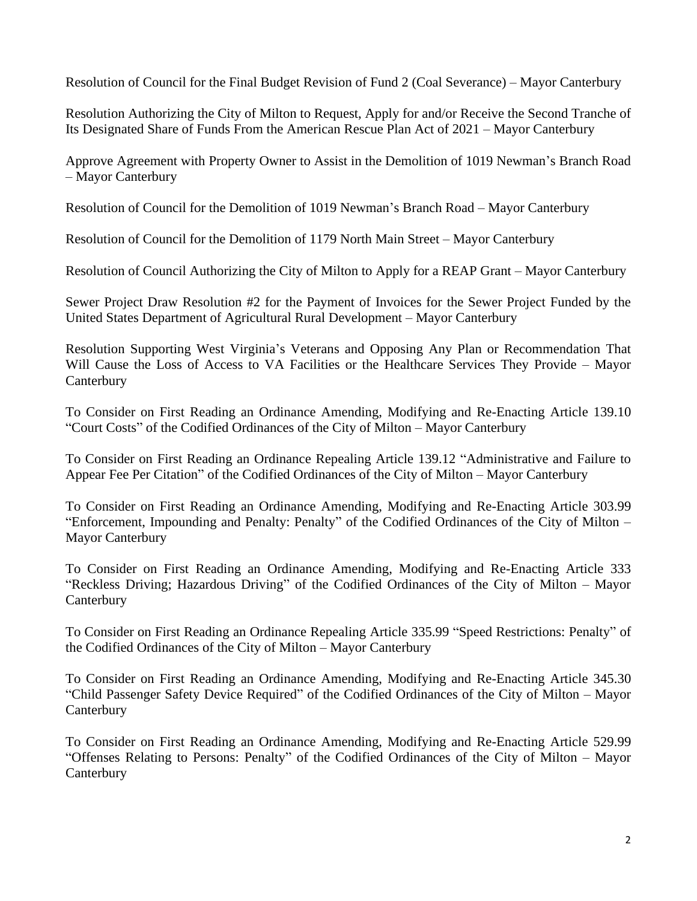Resolution of Council for the Final Budget Revision of Fund 2 (Coal Severance) – Mayor Canterbury

Resolution Authorizing the City of Milton to Request, Apply for and/or Receive the Second Tranche of Its Designated Share of Funds From the American Rescue Plan Act of 2021 – Mayor Canterbury

Approve Agreement with Property Owner to Assist in the Demolition of 1019 Newman's Branch Road – Mayor Canterbury

Resolution of Council for the Demolition of 1019 Newman's Branch Road – Mayor Canterbury

Resolution of Council for the Demolition of 1179 North Main Street – Mayor Canterbury

Resolution of Council Authorizing the City of Milton to Apply for a REAP Grant – Mayor Canterbury

Sewer Project Draw Resolution #2 for the Payment of Invoices for the Sewer Project Funded by the United States Department of Agricultural Rural Development – Mayor Canterbury

Resolution Supporting West Virginia's Veterans and Opposing Any Plan or Recommendation That Will Cause the Loss of Access to VA Facilities or the Healthcare Services They Provide – Mayor Canterbury

To Consider on First Reading an Ordinance Amending, Modifying and Re-Enacting Article 139.10 "Court Costs" of the Codified Ordinances of the City of Milton – Mayor Canterbury

To Consider on First Reading an Ordinance Repealing Article 139.12 "Administrative and Failure to Appear Fee Per Citation" of the Codified Ordinances of the City of Milton – Mayor Canterbury

To Consider on First Reading an Ordinance Amending, Modifying and Re-Enacting Article 303.99 "Enforcement, Impounding and Penalty: Penalty" of the Codified Ordinances of the City of Milton – Mayor Canterbury

To Consider on First Reading an Ordinance Amending, Modifying and Re-Enacting Article 333 "Reckless Driving; Hazardous Driving" of the Codified Ordinances of the City of Milton – Mayor **Canterbury** 

To Consider on First Reading an Ordinance Repealing Article 335.99 "Speed Restrictions: Penalty" of the Codified Ordinances of the City of Milton – Mayor Canterbury

To Consider on First Reading an Ordinance Amending, Modifying and Re-Enacting Article 345.30 "Child Passenger Safety Device Required" of the Codified Ordinances of the City of Milton – Mayor **Canterbury** 

To Consider on First Reading an Ordinance Amending, Modifying and Re-Enacting Article 529.99 "Offenses Relating to Persons: Penalty" of the Codified Ordinances of the City of Milton – Mayor **Canterbury**